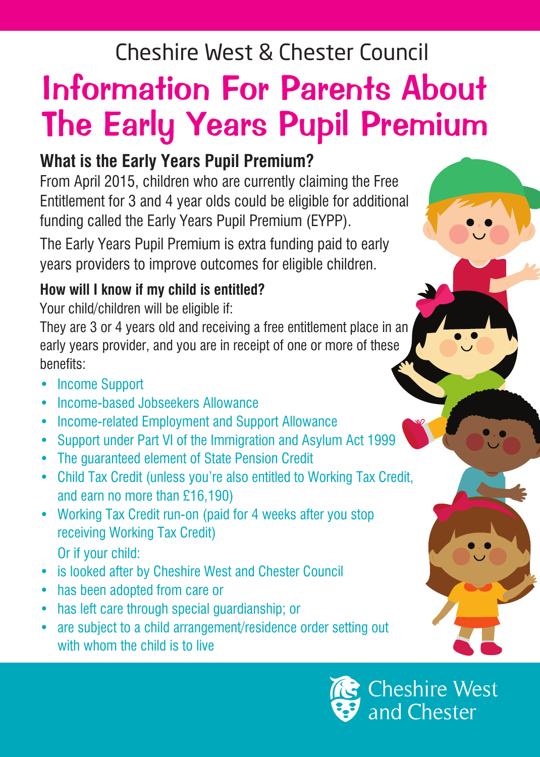## Cheshire West & Chester Council

# Information For Parents About The Early Years Pupil Premium

### **What is the Early Years Pupil Premium?**

From April 2015, children who are currently claiming the Free Entitlement for 3 and 4 year olds could be eligible for additional funding called the Early Years Pupil Premium (EYPP).

The Early Years Pupil Premium is extra funding paid to early years providers to improve outcomes for eligible children.

#### **How will I know if my child is entitled?**

Your child/children will be eligible if:

They are 3 or 4 years old and receiving a free entitlement place in an early years provider, and you are in receipt of one or more of these benefits:

- Income Support
- Income-based Jobseekers Allowance
- Income-related Employment and Support Allowance
- Support under Part VI of the Immigration and Asylum Act 1999
- The guaranteed element of State Pension Credit
- Child Tax Credit (unless you're also entitled to Working Tax Credit, and earn no more than £16,190)
- Working Tax Credit run-on (paid for 4 weeks after you stop receiving Working Tax Credit) Or if your child:
- is looked after by Cheshire West and Chester Council
- has been adopted from care or
- has left care through special guardianship; or
- are subject to a child arrangement/residence order setting out with whom the child is to live